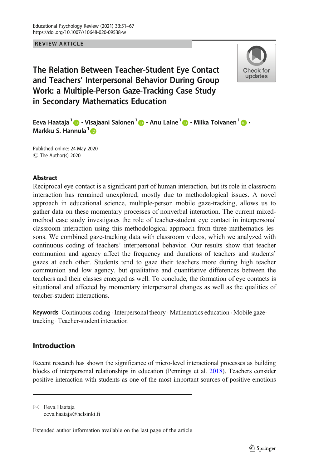# REVIEW ARTICLE



The Relation Between Teacher-Student Eye Contact and Teachers' Interpersonal Behavior During Group Work: a Multiple-Person Gaze-Tracking Case Study in Secondary Mathematics Education

Eeva Haataja<sup>1</sup>  $\bigcirc \cdot$  Visajaani Salonen<sup>1</sup>  $\bigcirc \cdot$  Anu Laine<sup>1</sup>  $\bigcirc \cdot$  Miika Toivanen<sup>1</sup>  $\bigcirc \cdot$ Markku S. Hannula 1<sup>0</sup>

C The Author(s) 2020 Published online: 24 May 2020

# Abstract

Reciprocal eye contact is a significant part of human interaction, but its role in classroom interaction has remained unexplored, mostly due to methodological issues. A novel approach in educational science, multiple-person mobile gaze-tracking, allows us to gather data on these momentary processes of nonverbal interaction. The current mixedmethod case study investigates the role of teacher-student eye contact in interpersonal classroom interaction using this methodological approach from three mathematics lessons. We combined gaze-tracking data with classroom videos, which we analyzed with continuous coding of teachers' interpersonal behavior. Our results show that teacher communion and agency affect the frequency and durations of teachers and students' gazes at each other. Students tend to gaze their teachers more during high teacher communion and low agency, but qualitative and quantitative differences between the teachers and their classes emerged as well. To conclude, the formation of eye contacts is situational and affected by momentary interpersonal changes as well as the qualities of teacher-student interactions.

Keywords Continuous coding · Interpersonal theory · Mathematics education · Mobile gazetracking . Teacher-student interaction

# Introduction

Recent research has shown the significance of micro-level interactional processes as building blocks of interpersonal relationships in education (Pennings et al. [2018\)](#page-16-0). Teachers consider positive interaction with students as one of the most important sources of positive emotions

 $\boxtimes$  Eeva Haataja [eeva.haataja@helsinki.fi](mailto:eeva.haataja@helsinki.fi)

Extended author information available on the last page of the article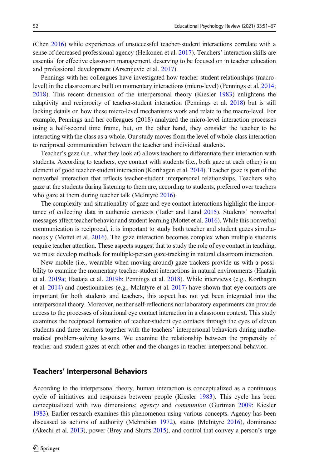(Chen [2016](#page-15-0)) while experiences of unsuccessful teacher-student interactions correlate with a sense of decreased professional agency (Heikonen et al. [2017\)](#page-15-0). Teachers' interaction skills are essential for effective classroom management, deserving to be focused on in teacher education and professional development (Arsenijevic et al. [2017\)](#page-14-0).

Pennings with her colleagues have investigated how teacher-student relationships (macrolevel) in the classroom are built on momentary interactions (micro-level) (Pennings et al. [2014](#page-16-0); [2018\)](#page-16-0). This recent dimension of the interpersonal theory (Kiesler [1983\)](#page-15-0) enlightens the adaptivity and reciprocity of teacher-student interaction (Pennings et al. [2018\)](#page-16-0) but is still lacking details on how these micro-level mechanisms work and relate to the macro-level. For example, Pennings and her colleagues (2018) analyzed the micro-level interaction processes using a half-second time frame, but, on the other hand, they consider the teacher to be interacting with the class as a whole. Our study moves from the level of whole-class interaction to reciprocal communication between the teacher and individual students.

Teacher's gaze (i.e., what they look at) allows teachers to differentiate their interaction with students. According to teachers, eye contact with students (i.e., both gaze at each other) is an element of good teacher-student interaction (Korthagen et al. [2014](#page-15-0)). Teacher gaze is part of the nonverbal interaction that reflects teacher-student interpersonal relationships. Teachers who gaze at the students during listening to them are, according to students, preferred over teachers who gaze at them during teacher talk (McIntyre [2016](#page-15-0)).

The complexity and situationality of gaze and eye contact interactions highlight the importance of collecting data in authentic contexts (Tatler and Land [2015\)](#page-16-0). Students' nonverbal messages affect teacher behavior and student learning (Mottet et al. [2016\)](#page-15-0). While this nonverbal communication is reciprocal, it is important to study both teacher and student gazes simultaneously (Mottet et al. [2016\)](#page-15-0). The gaze interaction becomes complex when multiple students require teacher attention. These aspects suggest that to study the role of eye contact in teaching, we must develop methods for multiple-person gaze-tracking in natural classroom interaction.

New mobile (i.e., wearable when moving around) gaze trackers provide us with a possibility to examine the momentary teacher-student interactions in natural environments (Haataja et al. [2019a](#page-15-0); Haataja et al. [2019b](#page-15-0); Pennings et al. [2018\)](#page-16-0). While interviews (e.g., Korthagen et al. [2014\)](#page-15-0) and questionnaires (e.g., McIntyre et al. [2017\)](#page-15-0) have shown that eye contacts are important for both students and teachers, this aspect has not yet been integrated into the interpersonal theory. Moreover, neither self-reflections nor laboratory experiments can provide access to the processes of situational eye contact interaction in a classroom context. This study examines the reciprocal formation of teacher-student eye contacts through the eyes of eleven students and three teachers together with the teachers' interpersonal behaviors during mathematical problem-solving lessons. We examine the relationship between the propensity of teacher and student gazes at each other and the changes in teacher interpersonal behavior.

## Teachers' Interpersonal Behaviors

According to the interpersonal theory, human interaction is conceptualized as a continuous cycle of initiatives and responses between people (Kiesler [1983\)](#page-15-0). This cycle has been conceptualized with two dimensions: agency and communion (Gurtman [2009](#page-15-0); Kiesler [1983](#page-15-0)). Earlier research examines this phenomenon using various concepts. Agency has been discussed as actions of authority (Mehrabian [1972\)](#page-15-0), status (McIntyre [2016\)](#page-15-0), dominance (Akechi et al. [2013\)](#page-14-0), power (Brey and Shutts [2015\)](#page-15-0), and control that convey a person's urge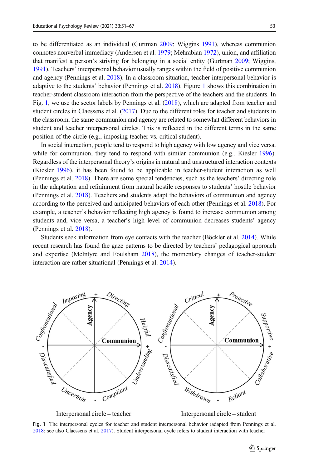to be differentiated as an individual (Gurtman [2009;](#page-15-0) Wiggins [1991\)](#page-16-0), whereas communion connotes nonverbal immediacy (Andersen et al. [1979;](#page-14-0) Mehrabian [1972](#page-15-0)), union, and affiliation that manifest a person's striving for belonging in a social entity (Gurtman [2009;](#page-15-0) Wiggins, [1991](#page-16-0)). Teachers' interpersonal behavior usually ranges within the field of positive communion and agency (Pennings et al. [2018\)](#page-16-0). In a classroom situation, teacher interpersonal behavior is adaptive to the students' behavior (Pennings et al. [2018](#page-16-0)). Figure 1 shows this combination in teacher-student classroom interaction from the perspective of the teachers and the students. In Fig. 1, we use the sector labels by Pennings et al. [\(2018\)](#page-16-0), which are adapted from teacher and student circles in Claessens et al. ([2017](#page-15-0)). Due to the different roles for teacher and students in the classroom, the same communion and agency are related to somewhat different behaviors in student and teacher interpersonal circles. This is reflected in the different terms in the same position of the circle (e.g., imposing teacher vs. critical student).

In social interaction, people tend to respond to high agency with low agency and vice versa, while for communion, they tend to respond with similar communion (e.g., Kiesler [1996](#page-15-0)). Regardless of the interpersonal theory's origins in natural and unstructured interaction contexts (Kiesler [1996](#page-15-0)), it has been found to be applicable in teacher-student interaction as well (Pennings et al. [2018](#page-16-0)). There are some special tendencies, such as the teachers' directing role in the adaptation and refrainment from natural hostile responses to students' hostile behavior (Pennings et al. [2018\)](#page-16-0). Teachers and students adapt the behaviors of communion and agency according to the perceived and anticipated behaviors of each other (Pennings et al. [2018](#page-16-0)). For example, a teacher's behavior reflecting high agency is found to increase communion among students and, vice versa, a teacher's high level of communion decreases students' agency (Pennings et al. [2018\)](#page-16-0).

Students seek information from eye contacts with the teacher (Böckler et al. [2014](#page-14-0)). While recent research has found the gaze patterns to be directed by teachers' pedagogical approach and expertise (McIntyre and Foulsham [2018\)](#page-15-0), the momentary changes of teacher-student interaction are rather situational (Pennings et al. [2014\)](#page-16-0).



Interpersonal circle – teacher

Interpersonal circle – student

Fig. 1 The interpersonal cycles for teacher and student interpersonal behavior (adapted from Pennings et al. [2018](#page-16-0); see also Claessens et al. [2017](#page-15-0)). Student interpersonal cycle refers to student interaction with teacher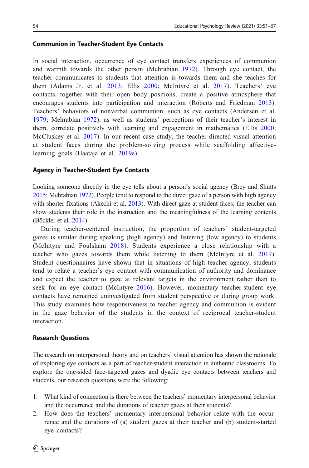### Communion in Teacher-Student Eye Contacts

In social interaction, occurrence of eye contact transfers experiences of communion and warmth towards the other person (Mehrabian [1972\)](#page-15-0). Through eye contact, the teacher communicates to students that attention is towards them and she teaches for them (Adams Jr. et al. [2013](#page-14-0); Ellis [2000](#page-15-0); McIntyre et al. [2017](#page-15-0)). Teachers' eye contacts, together with their open body positions, create a positive atmosphere that encourages students into participation and interaction (Roberts and Friedman [2013](#page-16-0)). Teachers' behaviors of nonverbal communion, such as eye contacts (Andersen et al. [1979](#page-14-0); Mehrabian [1972\)](#page-15-0), as well as students' perceptions of their teacher's interest in them, correlate positively with learning and engagement in mathematics (Ellis [2000](#page-15-0); McCluskey et al. [2017](#page-15-0)). In our recent case study, the teacher directed visual attention at student faces during the problem-solving process while scaffolding affectivelearning goals (Haataja et al. [2019a\)](#page-15-0).

### Agency in Teacher-Student Eye Contacts

Looking someone directly in the eye tells about a person's social agency (Brey and Shutts [2015](#page-15-0); Mehrabian [1972](#page-15-0)). People tend to respond to the direct gaze of a person with high agency with shorter fixations (Akechi et al. [2013](#page-14-0)). With direct gaze at student faces, the teacher can show students their role in the instruction and the meaningfulness of the learning contents (Böckler et al. [2014\)](#page-14-0).

During teacher-centered instruction, the proportion of teachers' student-targeted gazes is similar during speaking (high agency) and listening (low agency) to students (McIntyre and Foulsham [2018\)](#page-15-0). Students experience a close relationship with a teacher who gazes towards them while listening to them (McIntyre et al. [2017](#page-15-0)). Student questionnaires have shown that in situations of high teacher agency, students tend to relate a teacher's eye contact with communication of authority and dominance and expect the teacher to gaze at relevant targets in the environment rather than to seek for an eye contact (McIntyre [2016\)](#page-15-0). However, momentary teacher-student eye contacts have remained uninvestigated from student perspective or during group work. This study examines how responsiveness to teacher agency and communion is evident in the gaze behavior of the students in the context of reciprocal teacher-student interaction.

#### Research Questions

The research on interpersonal theory and on teachers' visual attention has shown the rationale of exploring eye contacts as a part of teacher-student interaction in authentic classrooms. To explore the one-sided face-targeted gazes and dyadic eye contacts between teachers and students, our research questions were the following:

- 1. What kind of connection is there between the teachers' momentary interpersonal behavior and the occurrence and the durations of teacher gazes at their students?
- 2. How does the teachers' momentary interpersonal behavior relate with the occurrence and the durations of (a) student gazes at their teacher and (b) student-started eye contacts?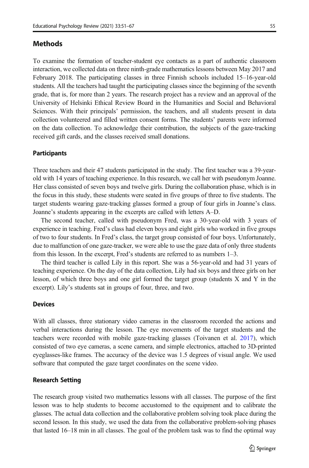# **Methods**

To examine the formation of teacher-student eye contacts as a part of authentic classroom interaction, we collected data on three ninth-grade mathematics lessons between May 2017 and February 2018. The participating classes in three Finnish schools included 15–16-year-old students. All the teachers had taught the participating classes since the beginning of the seventh grade, that is, for more than 2 years. The research project has a review and an approval of the University of Helsinki Ethical Review Board in the Humanities and Social and Behavioral Sciences. With their principals' permission, the teachers, and all students present in data collection volunteered and filled written consent forms. The students' parents were informed on the data collection. To acknowledge their contribution, the subjects of the gaze-tracking received gift cards, and the classes received small donations.

## **Participants**

Three teachers and their 47 students participated in the study. The first teacher was a 39-yearold with 14 years of teaching experience. In this research, we call her with pseudonym Joanne. Her class consisted of seven boys and twelve girls. During the collaboration phase, which is in the focus in this study, these students were seated in five groups of three to five students. The target students wearing gaze-tracking glasses formed a group of four girls in Joanne's class. Joanne's students appearing in the excerpts are called with letters A–D.

The second teacher, called with pseudonym Fred, was a 30-year-old with 3 years of experience in teaching. Fred's class had eleven boys and eight girls who worked in five groups of two to four students. In Fred's class, the target group consisted of four boys. Unfortunately, due to malfunction of one gaze-tracker, we were able to use the gaze data of only three students from this lesson. In the excerpt, Fred's students are referred to as numbers 1–3.

The third teacher is called Lily in this report. She was a 56-year-old and had 31 years of teaching experience. On the day of the data collection, Lily had six boys and three girls on her lesson, of which three boys and one girl formed the target group (students X and Y in the excerpt). Lily's students sat in groups of four, three, and two.

# **Devices**

With all classes, three stationary video cameras in the classroom recorded the actions and verbal interactions during the lesson. The eye movements of the target students and the teachers were recorded with mobile gaze-tracking glasses (Toivanen et al. [2017](#page-16-0)), which consisted of two eye cameras, a scene camera, and simple electronics, attached to 3D-printed eyeglasses-like frames. The accuracy of the device was 1.5 degrees of visual angle. We used software that computed the gaze target coordinates on the scene video.

## Research Setting

The research group visited two mathematics lessons with all classes. The purpose of the first lesson was to help students to become accustomed to the equipment and to calibrate the glasses. The actual data collection and the collaborative problem solving took place during the second lesson. In this study, we used the data from the collaborative problem-solving phases that lasted 16–18 min in all classes. The goal of the problem task was to find the optimal way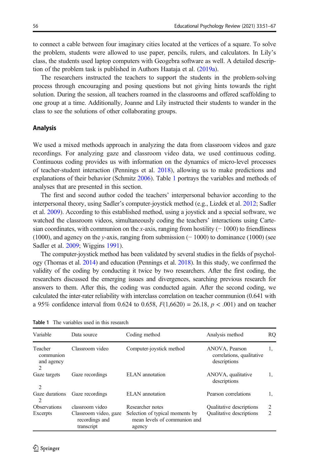to connect a cable between four imaginary cities located at the vertices of a square. To solve the problem, students were allowed to use paper, pencils, rulers, and calculators. In Lily's class, the students used laptop computers with Geogebra software as well. A detailed description of the problem task is published in Authors Haataja et al. [\(2019a\)](#page-15-0).

The researchers instructed the teachers to support the students in the problem-solving process through encouraging and posing questions but not giving hints towards the right solution. During the session, all teachers roamed in the classrooms and offered scaffolding to one group at a time. Additionally, Joanne and Lily instructed their students to wander in the class to see the solutions of other collaborating groups.

### Analysis

We used a mixed methods approach in analyzing the data from classroom videos and gaze recordings. For analyzing gaze and classroom video data, we used continuous coding. Continuous coding provides us with information on the dynamics of micro-level processes of teacher-student interaction (Pennings et al. [2018\)](#page-16-0), allowing us to make predictions and explanations of their behavior (Schmitz [2006](#page-16-0)). Table 1 portrays the variables and methods of analyses that are presented in this section.

The first and second author coded the teachers' interpersonal behavior according to the interpersonal theory, using Sadler's computer-joystick method (e.g., Lizdek et al. [2012](#page-15-0); Sadler et al. [2009\)](#page-16-0). According to this established method, using a joystick and a special software, we watched the classroom videos, simultaneously coding the teachers' interactions using Cartesian coordinates, with communion on the x-axis, ranging from hostility  $(-1000)$  to friendliness  $(1000)$ , and agency on the y-axis, ranging from submission  $(-1000)$  to dominance  $(1000)$  (see Sadler et al. [2009](#page-16-0); Wiggins [1991](#page-16-0)).

The computer-joystick method has been validated by several studies in the fields of psychology (Thomas et al. [2014](#page-16-0)) and education (Pennings et al. [2018\)](#page-16-0). In this study, we confirmed the validity of the coding by conducting it twice by two researchers. After the first coding, the researchers discussed the emerging issues and divergences, searching previous research for answers to them. After this, the coding was conducted again. After the second coding, we calculated the inter-rater reliability with interclass correlation on teacher communion (0.641 with a 95% confidence interval from 0.624 to 0.658,  $F(1,6620) = 26.18$ ,  $p < .001$ ) and on teacher

| Variable                                             | Data source                                           | Coding method                                                             | Analysis method                                             | <b>RQ</b>      |
|------------------------------------------------------|-------------------------------------------------------|---------------------------------------------------------------------------|-------------------------------------------------------------|----------------|
| Teacher<br>communion<br>and agency<br>$\overline{2}$ | Classroom video                                       | Computer-joystick method                                                  | ANOVA, Pearson<br>correlations, qualitative<br>descriptions | 1,             |
| Gaze targets<br>$\overline{2}$                       | Gaze recordings                                       | ELAN annotation                                                           | ANOVA, qualitative<br>descriptions                          | 1,             |
| Gaze durations<br>2                                  | Gaze recordings                                       | ELAN annotation                                                           | Pearson correlations                                        | 1,             |
| <b>Observations</b>                                  | classroom video                                       | Researcher notes                                                          | <b>Oualitative descriptions</b>                             | 2              |
| Excerpts                                             | Classroom video, gaze<br>recordings and<br>transcript | Selection of typical moments by<br>mean levels of communion and<br>agency | <b>Oualitative descriptions</b>                             | $\overline{2}$ |

Table 1 The variables used in this research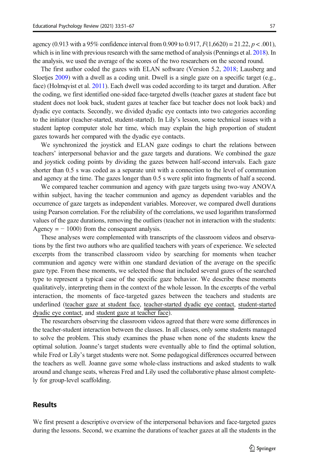agency (0.913 with a 95% confidence interval from 0.909 to 0.917,  $F(1,6620) = 21.22$ ,  $p < .001$ ), which is in line with previous research with the same method of analysis (Pennings et al. [2018](#page-16-0)). In the analysis, we used the average of the scores of the two researchers on the second round.

The first author coded the gazes with ELAN software (Version 5.2, [2018](#page-15-0); Lausberg and Sloetjes [2009\)](#page-15-0) with a dwell as a coding unit. Dwell is a single gaze on a specific target (e.g., face) (Holmqvist et al. [2011\)](#page-15-0). Each dwell was coded according to its target and duration. After the coding, we first identified one-sided face-targeted dwells (teacher gazes at student face but student does not look back, student gazes at teacher face but teacher does not look back) and dyadic eye contacts. Secondly, we divided dyadic eye contacts into two categories according to the initiator (teacher-started, student-started). In Lily's lesson, some technical issues with a student laptop computer stole her time, which may explain the high proportion of student gazes towards her compared with the dyadic eye contacts.

We synchronized the joystick and ELAN gaze codings to chart the relations between teachers' interpersonal behavior and the gaze targets and durations. We combined the gaze and joystick coding points by dividing the gazes between half-second intervals. Each gaze shorter than 0.5 s was coded as a separate unit with a connection to the level of communion and agency at the time. The gazes longer than 0.5 s were split into fragments of half a second.

We compared teacher communion and agency with gaze targets using two-way ANOVA within subject, having the teacher communion and agency as dependent variables and the occurrence of gaze targets as independent variables. Moreover, we compared dwell durations using Pearson correlation. For the reliability of the correlations, we used logarithm transformed values of the gaze durations, removing the outliers (teacher not in interaction with the students: Agency  $=$   $-$  1000) from the consequent analysis.

These analyses were complemented with transcripts of the classroom videos and observations by the first two authors who are qualified teachers with years of experience. We selected excerpts from the transcribed classroom video by searching for moments when teacher communion and agency were within one standard deviation of the average on the specific gaze type. From these moments, we selected those that included several gazes of the searched type to represent a typical case of the specific gaze behavior. We describe these moments qualitatively, interpreting them in the context of the whole lesson. In the excerpts of the verbal interaction, the moments of face-targeted gazes between the teachers and students are underlined (teacher gaze at student face, teacher-started dyadic eye contact, student-started dyadic eye contact, and student gaze at teacher face).

The researchers observing the classroom videos agreed that there were some differences in the teacher-student interaction between the classes. In all classes, only some students managed to solve the problem. This study examines the phase when none of the students knew the optimal solution. Joanne's target students were eventually able to find the optimal solution, while Fred or Lily's target students were not. Some pedagogical differences occurred between the teachers as well. Joanne gave some whole-class instructions and asked students to walk around and change seats, whereas Fred and Lily used the collaborative phase almost completely for group-level scaffolding.

# **Results**

We first present a descriptive overview of the interpersonal behaviors and face-targeted gazes during the lessons. Second, we examine the durations of teacher gazes at all the students in the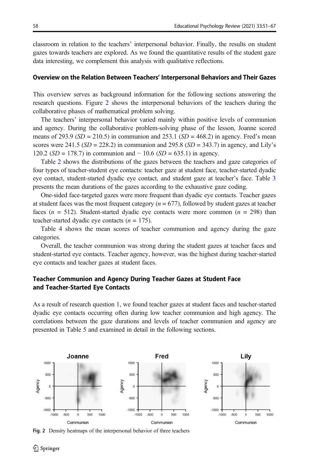classroom in relation to the teachers' interpersonal behavior. Finally, the results on student gazes towards teachers are explored. As we found the quantitative results of the student gaze data interesting, we complement this analysis with qualitative reflections.

### Overview on the Relation Between Teachers' Interpersonal Behaviors and Their Gazes

This overview serves as background information for the following sections answering the research questions. Figure 2 shows the interpersonal behaviors of the teachers during the collaborative phases of mathematical problem solving.

The teachers' interpersonal behavior varied mainly within positive levels of communion and agency. During the collaborative problem-solving phase of the lesson, Joanne scored means of 293.9 ( $SD = 210.5$ ) in communion and 253.1 ( $SD = 468.2$ ) in agency. Fred's mean scores were 241.5 ( $SD = 228.2$ ) in communion and 295.8 ( $SD = 343.7$ ) in agency, and Lily's 120.2 ( $SD = 178.7$ ) in communion and  $-10.6$  ( $SD = 635.1$ ) in agency.

Table [2](#page-8-0) shows the distributions of the gazes between the teachers and gaze categories of four types of teacher-student eye contacts: teacher gaze at student face, teacher-started dyadic eye contact, student-started dyadic eye contact, and student gaze at teacher's face. Table [3](#page-8-0) presents the mean durations of the gazes according to the exhaustive gaze coding.

One-sided face-targeted gazes were more frequent than dyadic eye contacts. Teacher gazes at student faces was the most frequent category ( $n = 677$ ), followed by student gazes at teacher faces ( $n = 512$ ). Student-started dyadic eye contacts were more common ( $n = 298$ ) than teacher-started dyadic eye contacts ( $n = 175$ ).

Table [4](#page-9-0) shows the mean scores of teacher communion and agency during the gaze categories.

Overall, the teacher communion was strong during the student gazes at teacher faces and student-started eye contacts. Teacher agency, however, was the highest during teacher-started eye contacts and teacher gazes at student faces.

# Teacher Communion and Agency During Teacher Gazes at Student Face and Teacher-Started Eye Contacts

As a result of research question 1, we found teacher gazes at student faces and teacher-started dyadic eye contacts occurring often during low teacher communion and high agency. The correlations between the gaze durations and levels of teacher communion and agency are presented in Table [5](#page-9-0) and examined in detail in the following sections.



Fig. 2 Density heatmaps of the interpersonal behavior of three teachers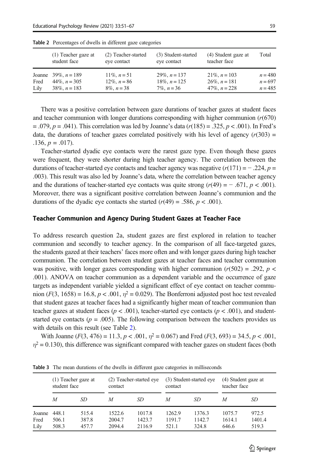|              | (1) Teacher gaze at<br>student face                               | (2) Teacher-started<br>eye contact              | (3) Student-started<br>eye contact                 | (4) Student gaze at<br>teacher face                         | Total                               |
|--------------|-------------------------------------------------------------------|-------------------------------------------------|----------------------------------------------------|-------------------------------------------------------------|-------------------------------------|
| Fred<br>Lily | Joanne 39%, $n = 189$<br>$44\%$ , $n = 305$<br>$38\%$ , $n = 183$ | 11\%, $n = 51$<br>12\%, $n = 86$<br>$8\%, n=38$ | 29%, $n = 137$<br>18\%, $n = 125$<br>7\%, $n = 36$ | $21\%$ , $n = 103$<br>$26\%$ , $n = 181$<br>$47\%, n = 228$ | $n = 480$<br>$n = 697$<br>$n = 485$ |

<span id="page-8-0"></span>Table 2 Percentages of dwells in different gaze categories

There was a positive correlation between gaze durations of teacher gazes at student faces and teacher communion with longer durations corresponding with higher communion  $(r(670))$  $= .079, p = .041$ . This correlation was led by Joanne's data (r(185) = .325, p < .001). In Fred's data, the durations of teacher gazes correlated positively with his level of agency  $(r(303) =$  $.136, p = .017$ ).

Teacher-started dyadic eye contacts were the rarest gaze type. Even though these gazes were frequent, they were shorter during high teacher agency. The correlation between the durations of teacher-started eye contacts and teacher agency was negative  $(r(171) = -.224, p =$ .003). This result was also led by Joanne's data, where the correlation between teacher agency and the durations of teacher-started eye contacts was quite strong  $(r(49) = -0.671, p < 0.001)$ . Moreover, there was a significant positive correlation between Joanne's communion and the durations of the dyadic eye contacts she started  $(r(49) = .586, p < .001)$ .

#### Teacher Communion and Agency During Student Gazes at Teacher Face

To address research question 2a, student gazes are first explored in relation to teacher communion and secondly to teacher agency. In the comparison of all face-targeted gazes, the students gazed at their teachers' faces more often and with longer gazes during high teacher communion. The correlation between student gazes at teacher faces and teacher communion was positive, with longer gazes corresponding with higher communion ( $r(502) = .292$ ,  $p <$ .001). ANOVA on teacher communion as a dependent variable and the occurrence of gaze targets as independent variable yielded a significant effect of eye contact on teacher communion (F(3, 1658) = 16.8,  $p < .001$ ,  $\eta^2 = 0.029$ ). The Bonferroni adjusted post hoc test revealed that student gazes at teacher faces had a significantly higher mean of teacher communion than teacher gazes at student faces ( $p < .001$ ), teacher-started eye contacts ( $p < .001$ ), and studentstarted eye contacts ( $p = .005$ ). The following comparison between the teachers provides us with details on this result (see Table 2).

With Joanne  $(F(3, 476) = 11.3, p < .001, \eta^2 = 0.067)$  and Fred  $(F(3, 693) = 34.5, p < .001,$  $\eta^2$  = 0.130), this difference was significant compared with teacher gazes on student faces (both

|        | $(1)$ Teacher gaze at |       | (2) Teacher-started eye |        | (3) Student-started eye |        | (4) Student gaze at |        |
|--------|-----------------------|-------|-------------------------|--------|-------------------------|--------|---------------------|--------|
|        | student face          |       | contact                 |        | contact                 |        | teacher face        |        |
|        | M                     | SD    | M                       | SD     | M                       | SD     | M                   | SD     |
| Joanne | 448.1                 | 515.4 | 1522.6                  | 1017.8 | 1262.9                  | 1376.3 | 1075.7              | 972.5  |
| Fred   | 506.1                 | 387.8 | 2004.7                  | 1423.7 | 1191.7                  | 1142.7 | 1614.1              | 1401.4 |
| Lily   | 508.3                 | 457.7 | 2094.4                  | 2116.9 | 521.1                   | 324.8  | 646.6               | 519.3  |

Table 3 The mean durations of the dwells in different gaze categories in milliseconds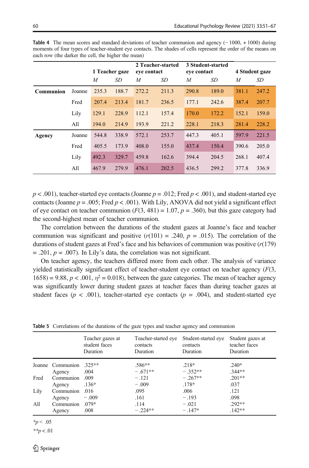|           |        | 1 Teacher gaze   |           | 2 Teacher-started<br>eve contact |           | 3 Student-started<br>eye contact |           | 4 Student gaze |           |
|-----------|--------|------------------|-----------|----------------------------------|-----------|----------------------------------|-----------|----------------|-----------|
|           |        | $\boldsymbol{M}$ | <b>SD</b> | $\boldsymbol{M}$                 | <b>SD</b> | M                                | <b>SD</b> | M              | <b>SD</b> |
| Communion | Joanne | 235.3            | 188.7     | 272.2                            | 211.3     | 290.8                            | 189.0     | 381.1          | 247.2     |
|           | Fred   | 207.4            | 213.4     | 181.7                            | 236.5     | 177.1                            | 242.6     | 387.4          | 207.7     |
|           | Lily   | 129.1            | 228.9     | 112.1                            | 157.4     | 170.0                            | 172.2     | 152.1          | 159.0     |
|           | A11    | 194.0            | 214.9     | 193.9                            | 221.2     | 228.1                            | 218.3     | 281.4          | 228.2     |
| Agency    | Joanne | 544.8            | 338.9     | 572.1                            | 253.7     | 447.3                            | 405.1     | 597.9          | 221.5     |
|           | Fred   | 405.5            | 173.9     | 408.0                            | 155.0     | 437.4                            | 150.4     | 390.6          | 205.0     |
|           | Lily   | 492.3            | 329.7     | 459.8                            | 162.6     | 394.4                            | 204.5     | 268.1          | 407.4     |
|           | All    | 467.9            | 279.9     | 476.1                            | 202.5     | 436.5                            | 299.2     | 377.8          | 336.9     |

<span id="page-9-0"></span>Table 4 The mean scores and standard deviations of teacher communion and agency (− 1000, + 1000) during moments of four types of teacher-student eye contacts. The shades of cells represent the order of the means on each row (the darker the cell, the higher the mean)

 $p < .001$ ), teacher-started eye contacts (Joanne  $p = .012$ ; Fred  $p < .001$ ), and student-started eye contacts (Joanne  $p = .005$ ; Fred  $p < .001$ ). With Lily, ANOVA did not yield a significant effect of eye contact on teacher communion  $(F(3, 481) = 1.07, p = .360)$ , but this gaze category had the second-highest mean of teacher communion.

The correlation between the durations of the student gazes at Joanne's face and teacher communion was significant and positive  $(r(101) = .240, p = .015)$ . The correlation of the durations of student gazes at Fred's face and his behaviors of communion was positive  $(r(179)$  $= .201, p = .007$ ). In Lily's data, the correlation was not significant.

On teacher agency, the teachers differed more from each other. The analysis of variance yielded statistically significant effect of teacher-student eye contact on teacher agency  $(F(3,$  $1658$ ) = 9.88,  $p < .001$ ,  $\eta^2 = 0.018$ ), between the gaze categories. The mean of teacher agency was significantly lower during student gazes at teacher faces than during teacher gazes at student faces ( $p < .001$ ), teacher-started eye contacts ( $p = .004$ ), and student-started eye

|  | <b>Table 5</b> Correlations of the durations of the gaze types and teacher agency and communion |  |  |  |  |  |  |  |  |  |  |
|--|-------------------------------------------------------------------------------------------------|--|--|--|--|--|--|--|--|--|--|
|--|-------------------------------------------------------------------------------------------------|--|--|--|--|--|--|--|--|--|--|

|      |                  | Teacher gazes at<br>student faces<br>Duration | Teacher-started eye<br>contacts<br>Duration | Student-started eye<br>contacts<br>Duration | Student gazes at<br>teacher faces<br>Duration |
|------|------------------|-----------------------------------------------|---------------------------------------------|---------------------------------------------|-----------------------------------------------|
|      | Joanne Communion | $.325**$                                      | $.586**$                                    | $.218*$                                     | $.240*$                                       |
|      | Agency           | .004                                          | $-.671**$                                   | $-.352**$                                   | $.344**$                                      |
| Fred | Communion        | .009                                          | $-.121$                                     | $-.267**$                                   | $.201**$                                      |
|      | Agency           | $.136*$                                       | $-.009$                                     | $.178*$                                     | .037                                          |
| Lily | Communion        | .016                                          | .095                                        | .006                                        | .121                                          |
|      | Agency           | $-.009$                                       | .161                                        | $-.193$                                     | .098                                          |
| All  | Communion        | $.079*$                                       | .114                                        | $-.021$                                     | $292**$                                       |
|      | Agency           | .008                                          | $-224**$                                    | $-.147*$                                    | $.142**$                                      |

 $*_{p}$  < .05

$$
*p < .01
$$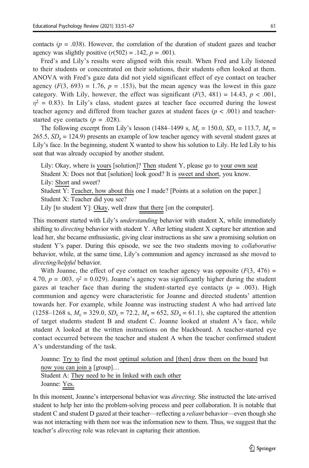contacts ( $p = .038$ ). However, the correlation of the duration of student gazes and teacher agency was slightly positive  $(r(502) = .142, p = .001)$ .

Fred's and Lily's results were aligned with this result. When Fred and Lily listened to their students or concentrated on their solutions, their students often looked at them. ANOVA with Fred's gaze data did not yield significant effect of eye contact on teacher agency  $(F(3, 693) = 1.76, p = .153)$ , but the mean agency was the lowest in this gaze category. With Lily, however, the effect was significant  $(F(3, 481) = 14.43, p < .001$ ,  $\eta^2$  = 0.83). In Lily's class, student gazes at teacher face occurred during the lowest teacher agency and differed from teacher gazes at student faces ( $p < .001$ ) and teacherstarted eye contacts ( $p = .028$ ).

The following excerpt from Lily's lesson (1484–1499 s,  $M_c = 150.0$ ,  $SD_c = 113.7$ ,  $M_a =$ 265.5,  $SD_a = 124.9$ ) presents an example of low teacher agency with several student gazes at Lily's face. In the beginning, student X wanted to show his solution to Lily. He led Lily to his seat that was already occupied by another student.

Lily: Okay, where is yours [solution]? Then student Y, please go to your own seat Student X: Does not that [solution] look good? It is sweet and short, you know. Lily: Short and sweet?

Student Y: Teacher, how about this one I made? [Points at a solution on the paper.] Student X: Teacher did you see?

Lily [to student Y]: Okay, well draw that there [on the computer].

This moment started with Lily's *understanding* behavior with student X, while immediately shifting to directing behavior with student Y. After letting student X capture her attention and lead her, she became enthusiastic, giving clear instructions as she saw a promising solution on student Y's paper. During this episode, we see the two students moving to *collaborative* behavior, while, at the same time, Lily's communion and agency increased as she moved to directing/helpful behavior.

With Joanne, the effect of eye contact on teacher agency was opposite  $(F(3, 476) =$ 4.70,  $p = .003$ ,  $\eta^2 = 0.029$ ). Joanne's agency was significantly higher during the student gazes at teacher face than during the student-started eye contacts ( $p = .003$ ). High communion and agency were characteristic for Joanne and directed students' attention towards her. For example, while Joanne was instructing student A who had arrived late (1258–1268 s,  $M_c = 329.0$ ,  $SD_c = 72.2$ ,  $M_a = 652$ ,  $SD_a = 61.1$ ), she captured the attention of target students student B and student C. Joanne looked at student A's face, while student A looked at the written instructions on the blackboard. A teacher-started eye contact occurred between the teacher and student A when the teacher confirmed student A's understanding of the task.

Joanne: Try to find the most optimal solution and [then] draw them on the board but now you can join a [group]… Student A: They need to be in linked with each other Joanne: Yes.

In this moment, Joanne's interpersonal behavior was directing. She instructed the late-arrived student to help her into the problem-solving process and peer collaboration. It is notable that student C and student D gazed at their teacher—reflecting a *reliant* behavior—even though she was not interacting with them nor was the information new to them. Thus, we suggest that the teacher's directing role was relevant in capturing their attention.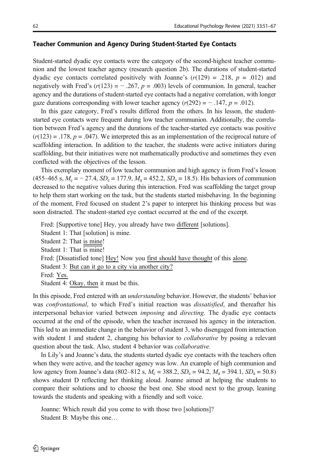### Teacher Communion and Agency During Student-Started Eye Contacts

Student-started dyadic eye contacts were the category of the second-highest teacher communion and the lowest teacher agency (research question 2b). The durations of student-started dyadic eye contacts correlated positively with Joanne's  $(r(129) = .218, p = .012)$  and negatively with Fred's  $(r(123) = -.267, p = .003)$  levels of communion. In general, teacher agency and the durations of student-started eye contacts had a negative correlation, with longer gaze durations corresponding with lower teacher agency  $(r(292) = -.147, p = .012)$ .

In this gaze category, Fred's results differed from the others. In his lesson, the studentstarted eye contacts were frequent during low teacher communion. Additionally, the correlation between Fred's agency and the durations of the teacher-started eye contacts was positive  $(r(123) = .178, p = .047)$ . We interpreted this as an implementation of the reciprocal nature of scaffolding interaction. In addition to the teacher, the students were active initiators during scaffolding, but their initiatives were not mathematically productive and sometimes they even conflicted with the objectives of the lesson.

This exemplary moment of low teacher communion and high agency is from Fred's lesson (455–465 s,  $M_c = -27.4$ ,  $SD_c = 177.9$ ,  $M_a = 452.2$ ,  $SD_a = 18.5$ ). His behaviors of communion decreased to the negative values during this interaction. Fred was scaffolding the target group to help them start working on the task, but the students started misbehaving. In the beginning of the moment, Fred focused on student 2's paper to interpret his thinking process but was soon distracted. The student-started eye contact occurred at the end of the excerpt.

Fred: [Supportive tone] Hey, you already have two different [solutions]. Student 1: That [solution] is mine. Student 2: That is mine! Student 1: That is mine! Fred: [Dissatisfied tone] Hey! Now you first should have thought of this alone. Student 3: But can it go to a city via another city? Fred: Yes. Student 4: Okay, then it must be this.

In this episode, Fred entered with an understanding behavior. However, the students' behavior was *confrontational*, to which Fred's initial reaction was *dissatisfied*, and thereafter his interpersonal behavior varied between *imposing* and *directing*. The dyadic eye contacts occurred at the end of the episode, when the teacher increased his agency in the interaction. This led to an immediate change in the behavior of student 3, who disengaged from interaction with student 1 and student 2, changing his behavior to *collaborative* by posing a relevant question about the task. Also, student 4 behavior was collaborative.

In Lily's and Joanne's data, the students started dyadic eye contacts with the teachers often when they were active, and the teacher agency was low. An example of high communion and low agency from Joanne's data (802–812 s,  $M_c = 388.2$ ,  $SD_c = 94.2$ ,  $M_a = 394.1$ ,  $SD_a = 50.8$ ) shows student D reflecting her thinking aloud. Joanne aimed at helping the students to compare their solutions and to choose the best one. She stood next to the group, leaning towards the students and speaking with a friendly and soft voice.

Joanne: Which result did you come to with those two [solutions]? Student B: Maybe this one…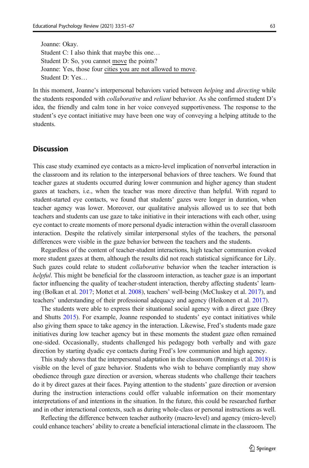Joanne: Okay. Student C: I also think that maybe this one… Student D: So, you cannot move the points? Joanne: Yes, those four cities you are not allowed to move. Student D: Yes…

In this moment, Joanne's interpersonal behaviors varied between *helping* and *directing* while the students responded with *collaborative* and *reliant* behavior. As she confirmed student D's idea, the friendly and calm tone in her voice conveyed supportiveness. The response to the student's eye contact initiative may have been one way of conveying a helping attitude to the students.

# **Discussion**

This case study examined eye contacts as a micro-level implication of nonverbal interaction in the classroom and its relation to the interpersonal behaviors of three teachers. We found that teacher gazes at students occurred during lower communion and higher agency than student gazes at teachers, i.e., when the teacher was more directive than helpful. With regard to student-started eye contacts, we found that students' gazes were longer in duration, when teacher agency was lower. Moreover, our qualitative analysis allowed us to see that both teachers and students can use gaze to take initiative in their interactions with each other, using eye contact to create moments of more personal dyadic interaction within the overall classroom interaction. Despite the relatively similar interpersonal styles of the teachers, the personal differences were visible in the gaze behavior between the teachers and the students.

Regardless of the content of teacher-student interactions, high teacher communion evoked more student gazes at them, although the results did not reach statistical significance for Lily. Such gazes could relate to student *collaborative* behavior when the teacher interaction is helpful. This might be beneficial for the classroom interaction, as teacher gaze is an important factor influencing the quality of teacher-student interaction, thereby affecting students' learning (Bolkan et al. [2017](#page-15-0); Mottet et al. [2008](#page-15-0)), teachers' well-being (McCluskey et al. [2017\)](#page-15-0), and teachers' understanding of their professional adequacy and agency (Heikonen et al. [2017\)](#page-15-0).

The students were able to express their situational social agency with a direct gaze (Brey and Shutts [2015](#page-15-0)). For example, Joanne responded to students' eye contact initiatives while also giving them space to take agency in the interaction. Likewise, Fred's students made gaze initiatives during low teacher agency but in these moments the student gaze often remained one-sided. Occasionally, students challenged his pedagogy both verbally and with gaze direction by starting dyadic eye contacts during Fred's low communion and high agency.

This study shows that the interpersonal adaptation in the classroom (Pennings et al. [2018](#page-16-0)) is visible on the level of gaze behavior. Students who wish to behave compliantly may show obedience through gaze direction or aversion, whereas students who challenge their teachers do it by direct gazes at their faces. Paying attention to the students' gaze direction or aversion during the instruction interactions could offer valuable information on their momentary interpretations of and intentions in the situation. In the future, this could be researched further and in other interactional contexts, such as during whole-class or personal instructions as well.

Reflecting the difference between teacher authority (macro-level) and agency (micro-level) could enhance teachers' ability to create a beneficial interactional climate in the classroom. The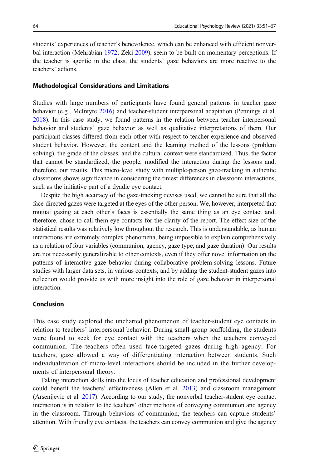students' experiences of teacher's benevolence, which can be enhanced with efficient nonverbal interaction (Mehrabian [1972;](#page-15-0) Zeki [2009\)](#page-16-0), seem to be built on momentary perceptions. If the teacher is agentic in the class, the students' gaze behaviors are more reactive to the teachers' actions.

#### Methodological Considerations and Limitations

Studies with large numbers of participants have found general patterns in teacher gaze behavior (e.g., McIntyre [2016\)](#page-15-0) and teacher-student interpersonal adaptation (Pennings et al. [2018](#page-16-0)). In this case study, we found patterns in the relation between teacher interpersonal behavior and students' gaze behavior as well as qualitative interpretations of them. Our participant classes differed from each other with respect to teacher experience and observed student behavior. However, the content and the learning method of the lessons (problem solving), the grade of the classes, and the cultural context were standardized. Thus, the factor that cannot be standardized, the people, modified the interaction during the lessons and, therefore, our results. This micro-level study with multiple-person gaze-tracking in authentic classrooms shows significance in considering the tiniest differences in classroom interactions, such as the initiative part of a dyadic eye contact.

Despite the high accuracy of the gaze-tracking devises used, we cannot be sure that all the face-directed gazes were targeted at the eyes of the other person. We, however, interpreted that mutual gazing at each other's faces is essentially the same thing as an eye contact and, therefore, chose to call them eye contacts for the clarity of the report. The effect size of the statistical results was relatively low throughout the research. This is understandable, as human interactions are extremely complex phenomena, being impossible to explain comprehensively as a relation of four variables (communion, agency, gaze type, and gaze duration). Our results are not necessarily generalizable to other contexts, even if they offer novel information on the patterns of interactive gaze behavior during collaborative problem-solving lessons. Future studies with larger data sets, in various contexts, and by adding the student-student gazes into reflection would provide us with more insight into the role of gaze behavior in interpersonal interaction.

#### Conclusion

This case study explored the uncharted phenomenon of teacher-student eye contacts in relation to teachers' interpersonal behavior. During small-group scaffolding, the students were found to seek for eye contact with the teachers when the teachers conveyed communion. The teachers often used face-targeted gazes during high agency. For teachers, gaze allowed a way of differentiating interaction between students. Such individualization of micro-level interactions should be included in the further developments of interpersonal theory.

Taking interaction skills into the locus of teacher education and professional development could benefit the teachers' effectiveness (Allen et al. [2013](#page-14-0)) and classroom management (Arsenijevic et al. [2017](#page-14-0)). According to our study, the nonverbal teacher-student eye contact interaction is in relation to the teachers' other methods of conveying communion and agency in the classroom. Through behaviors of communion, the teachers can capture students' attention. With friendly eye contacts, the teachers can convey communion and give the agency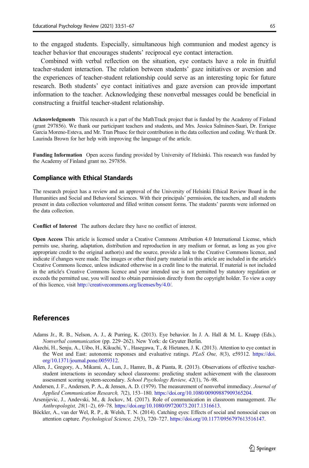<span id="page-14-0"></span>to the engaged students. Especially, simultaneous high communion and modest agency is teacher behavior that encourages students' reciprocal eye contact interaction.

Combined with verbal reflection on the situation, eye contacts have a role in fruitful teacher-student interaction. The relation between students' gaze initiatives or aversion and the experiences of teacher-student relationship could serve as an interesting topic for future research. Both students' eye contact initiatives and gaze aversion can provide important information to the teacher. Acknowledging these nonverbal messages could be beneficial in constructing a fruitful teacher-student relationship.

Acknowledgments This research is a part of the MathTrack project that is funded by the Academy of Finland (grant 297856). We thank our participant teachers and students, and Mrs. Jessica Salminen-Saari, Dr. Enrique Garcia Moreno-Esteva, and Mr. Tran Phuoc for their contribution in the data collection and coding. We thank Dr. Laurinda Brown for her help with improving the language of the article.

Funding Information Open access funding provided by University of Helsinki. This research was funded by the Academy of Finland grant no. 297856.

#### Compliance with Ethical Standards

The research project has a review and an approval of the University of Helsinki Ethical Review Board in the Humanities and Social and Behavioral Sciences. With their principals' permission, the teachers, and all students present in data collection volunteered and filled written consent forms. The students' parents were informed on the data collection.

Conflict of Interest The authors declare they have no conflict of interest.

Open Access This article is licensed under a Creative Commons Attribution 4.0 International License, which permits use, sharing, adaptation, distribution and reproduction in any medium or format, as long as you give appropriate credit to the original author(s) and the source, provide a link to the Creative Commons licence, and indicate if changes were made. The images or other third party material in this article are included in the article's Creative Commons licence, unless indicated otherwise in a credit line to the material. If material is not included in the article's Creative Commons licence and your intended use is not permitted by statutory regulation or exceeds the permitted use, you will need to obtain permission directly from the copyright holder. To view a copy of this licence, visit [http://creativecommons.org/licenses/by/4.0/.](https://doi.org/http://creativecommons.org/licenses/by/4.0/)

# References

- Adams Jr., R. B., Nelson, A. J., & Purring, K. (2013). Eye behavior. In J. A. Hall & M. L. Knapp (Eds.), Nonverbal communication (pp. 229–262). New York: de Gryuter Berlin.
- Akechi, H., Senju, A., Uibo, H., Kikuchi, Y., Hasegawa, T., & Hietanen, J. K. (2013). Attention to eye contact in the West and East: autonomic responses and evaluative ratings. PLoS One, 8(3), e59312. [https://doi.](https://doi.org/http://creativecommons.org/licenses/by/4.0/) [org/10.1371/journal.pone.0059312.](https://doi.org/http://creativecommons.org/licenses/by/4.0/)
- Allen, J., Gregory, A., Mikami, A., Lun, J., Hamre, B., & Pianta, R. (2013). Observations of effective teacherstudent interactions in secondary school classrooms: predicting student achievement with the classroom assessment scoring system-secondary. School Psychology Review, 42(1), 76–98.
- Andersen, J. F., Andersen, P. A., & Jensen, A. D. (1979). The measurement of nonverbal immediacy. Journal of Applied Communication Research, 7(2), 153–180. [https://doi.org/10.1080/00909887909365204.](https://doi.org/10.1080/00909887909365204)
- Arsenijevic, J., Andevski, M., & Jockov, M. (2017). Role of communication in classroom management. The Anthropologist, 28(1–2), 69–78. [https://doi.org/10.1080/09720073.2017.1316613.](https://doi.org/10.1080/09720073.2017.1316613)
- Böckler, A., van der Wel, R. P., & Welsh, T. N. (2014). Catching eyes: Effects of social and nonsocial cues on attention capture. Psychological Science, 25(3), 720–727. <https://doi.org/10.1177/0956797613516147>.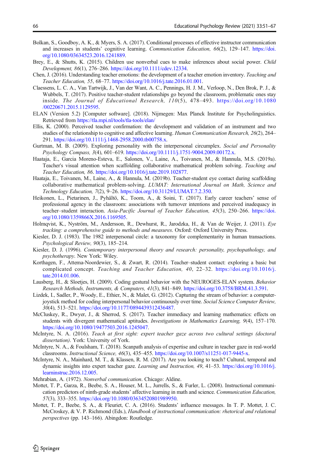- <span id="page-15-0"></span>Bolkan, S., Goodboy, A. K., & Myers, S. A. (2017). Conditional processes of effective instructor communication and increases in students' cognitive learning. Communication Education, 66(2), 129–147. [https://doi.](https://doi.org/10.1080/03634523.2016.1241889) [org/10.1080/03634523.2016.1241889.](https://doi.org/10.1080/03634523.2016.1241889)
- Brey, E., & Shutts, K. (2015). Children use nonverbal cues to make inferences about social power. Child Development, 86(1), 276–286. [https://doi.org/10.1111/cdev.12334.](https://doi.org/10.1111/cdev.12334)
- Chen, J. (2016). Understanding teacher emotions: the development of a teacher emotion inventory. Teaching and Teacher Education, 55, 68–77. <https://doi.org/10.1016/j.tate.2016.01.001>.
- Claessens, L. C. A., Van Tartwijk, J., Van der Want, A. C., Pennings, H. J. M., Verloop, N., Den Brok, P. J., & Wubbels, T. (2017). Positive teacher-student relationships go beyond the classroom, problematic ones stay inside. The Journal of Educational Research, 110(5), 478–493. [https://doi.org/10.1080](https://doi.org/10.1080/00220671.2015.1129595) [/00220671.2015.1129595](https://doi.org/10.1080/00220671.2015.1129595).
- ELAN (Version 5.2) [Computer software]. (2018). Nijmegen: Max Planck Institute for Psycholinguistics. Retrieved from [https://tla.mpi.nl/tools/tla-tools/elan/](https://doi.org/http://creativecommons.org/licenses/by/4.0/)
- Ellis, K. (2000). Perceived teacher confirmation: the development and validation of an instrument and two studies of the relationship to cognitive and affective learning. Human Communication Research, 26(2), 264– 291. [https://doi.org/10.1111/j.1468-2958.2000.tb00758.x](https://doi.org/http://creativecommons.org/licenses/by/4.0/).
- Gurtman, M. B. (2009). Exploring personality with the interpersonal circumplex. Social and Personality Psychology Compass, 3(4), 601–619. <https://doi.org/10.1111/j.1751-9004.2009.00172.x>.
- Haataja, E., Garcia Moreno-Esteva, E., Salonen, V., Laine, A., Toivanen, M., & Hannula, M.S. (2019a). Teacher's visual attention when scaffolding collaborative mathematical problem solving. Teaching and Teacher Education, 86. [https://doi.org/10.1016/j.tate.2019.102877.](https://doi.org/http://creativecommons.org/licenses/by/4.0/)
- Haataja, E., Toivanen, M., Laine, A., & Hannula, M. (2019b). Teacher-student eye contact during scaffolding collaborative mathematical problem-solving. LUMAT: International Journal on Math, Science and Technology Education, 7(2), 9–26. <https://doi.org/10.31129/LUMAT.7.2.350>.
- Heikonen, L., Pietarinen, J., Pyhältö, K., Toom, A., & Soini, T. (2017). Early career teachers' sense of professional agency in the classroom: associations with turnover intentions and perceived inadequacy in teacher–student interaction. Asia-Pacific Journal of Teacher Education, 45(3), 250–266. [https://doi.](https://doi.org/10.1080/1359866X.2016.1169505) [org/10.1080/1359866X.2016.1169505](https://doi.org/10.1080/1359866X.2016.1169505).
- Holmqvist, K., Nyström, M., Andersson, R., Dewhurst, R., Jarodzka, H., & Van de Weijer, J. (2011). Eye tracking: a comprehensive guide to methods and measures. Oxford: Oxford University Press.
- Kiesler, D. J. (1983). The 1982 interpersonal circle: a taxonomy for complementarity in human transactions. Psychological Review, 90(3), 185–214.
- Kiesler, D. J. (1996). Contemporary interpersonal theory and research: personality, psychopathology, and psychotherapy. New York: Wiley.
- Korthagen, F., Attema-Noordewier, S., & Zwart, R. (2014). Teacher–student contact: exploring a basic but complicated concept. Teaching and Teacher Education, 40, 22–32. [https://doi.org/10.1016/j.](https://doi.org/10.1016/j.tate.2014.01.006) [tate.2014.01.006](https://doi.org/10.1016/j.tate.2014.01.006).
- Lausberg, H., & Sloetjes, H. (2009). Coding gestural behavior with the NEUROGES-ELAN system. Behavior Research Methods, Instruments, & Computers, 41(3), 841–849. [https://doi.org/10.3758/BRM.41.3.591.](https://doi.org/10.3758/BRM.41.3.591)
- Lizdek, I., Sadler, P., Woody, E., Ethier, N., & Malet, G. (2012). Capturing the stream of behavior: a computerjoystick method for coding interpersonal behavior continuously over time. Social Science Computer Review, 30(4), 513–521. <https://doi.org/10.1177/0894439312436487>.
- McCluskey, R., Dwyer, J., & Sherrod, S. (2017). Teacher immediacy and learning mathematics: effects on students with divergent mathematical aptitudes. *Investigations in Mathematics Learning*,  $9(4)$ , 157–170. <https://doi.org/10.1080/19477503.2016.1245047>.
- McIntyre, N. A. (2016). Teach at first sight: expert teacher gaze across two cultural settings (doctoral dissertation). York: University of York.
- McIntyre, N. A., & Foulsham, T. (2018). Scanpath analysis of expertise and culture in teacher gaze in real-world classrooms. Instructional Science, 46(3), 435–455. <https://doi.org/10.1007/s11251-017-9445-x>.
- McIntyre, N. A., Mainhard, M. T., & Klassen, R. M. (2017). Are you looking to teach? Cultural, temporal and dynamic insights into expert teacher gaze. Learning and Instruction, 49, 41–53. [https://doi.org/10.1016/j.](https://doi.org/10.1016/j.learninstruc.2016.12.005) [learninstruc.2016.12.005](https://doi.org/10.1016/j.learninstruc.2016.12.005).
- Mehrabian, A. (1972). Nonverbal communication. Chicago: Aldine.
- Mottet, T. P., Garza, R., Beebe, S. A., Houser, M. L., Jurrells, S., & Furler, L. (2008). Instructional communication predictors of ninth-grade students' affective learning in math and science. Communication Education, 57(3), 333–355. [https://doi.org/10.1080/03634520801989950.](https://doi.org/10.1080/03634520801989950)
- Mottet, T. P., Beebe, S. A., & Fleuriet, C. A. (2016). Students' influence messages. In T. P. Mottet, J. C. McCroskey, & V. P. Richmond (Eds.), Handbook of instructional communication: rhetorical and relational perspectives (pp. 143–166). Abingdon: Routledge.